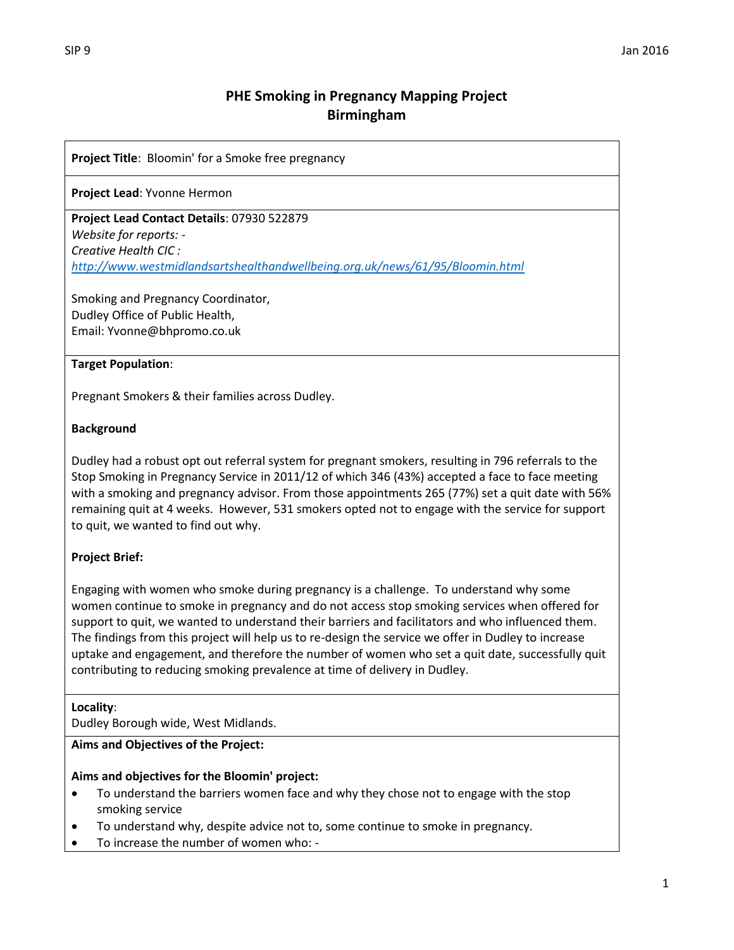# **PHE Smoking in Pregnancy Mapping Project Birmingham**

**Project Title**: Bloomin' for a Smoke free pregnancy

### **Project Lead**: Yvonne Hermon

**Project Lead Contact Details**: 07930 522879 *Website for reports: - Creative Health CIC : <http://www.westmidlandsartshealthandwellbeing.org.uk/news/61/95/Bloomin.html>*

Smoking and Pregnancy Coordinator, Dudley Office of Public Health, Email: Yvonne@bhpromo.co.uk

## **Target Population**:

Pregnant Smokers & their families across Dudley.

## **Background**

Dudley had a robust opt out referral system for pregnant smokers, resulting in 796 referrals to the Stop Smoking in Pregnancy Service in 2011/12 of which 346 (43%) accepted a face to face meeting with a smoking and pregnancy advisor. From those appointments 265 (77%) set a quit date with 56% remaining quit at 4 weeks. However, 531 smokers opted not to engage with the service for support to quit, we wanted to find out why.

## **Project Brief:**

Engaging with women who smoke during pregnancy is a challenge. To understand why some women continue to smoke in pregnancy and do not access stop smoking services when offered for support to quit, we wanted to understand their barriers and facilitators and who influenced them. The findings from this project will help us to re-design the service we offer in Dudley to increase uptake and engagement, and therefore the number of women who set a quit date, successfully quit contributing to reducing smoking prevalence at time of delivery in Dudley.

#### **Locality**:

Dudley Borough wide, West Midlands.

**Aims and Objectives of the Project:**

#### **Aims and objectives for the Bloomin' project:**

- To understand the barriers women face and why they chose not to engage with the stop smoking service
- To understand why, despite advice not to, some continue to smoke in pregnancy.
- To increase the number of women who: -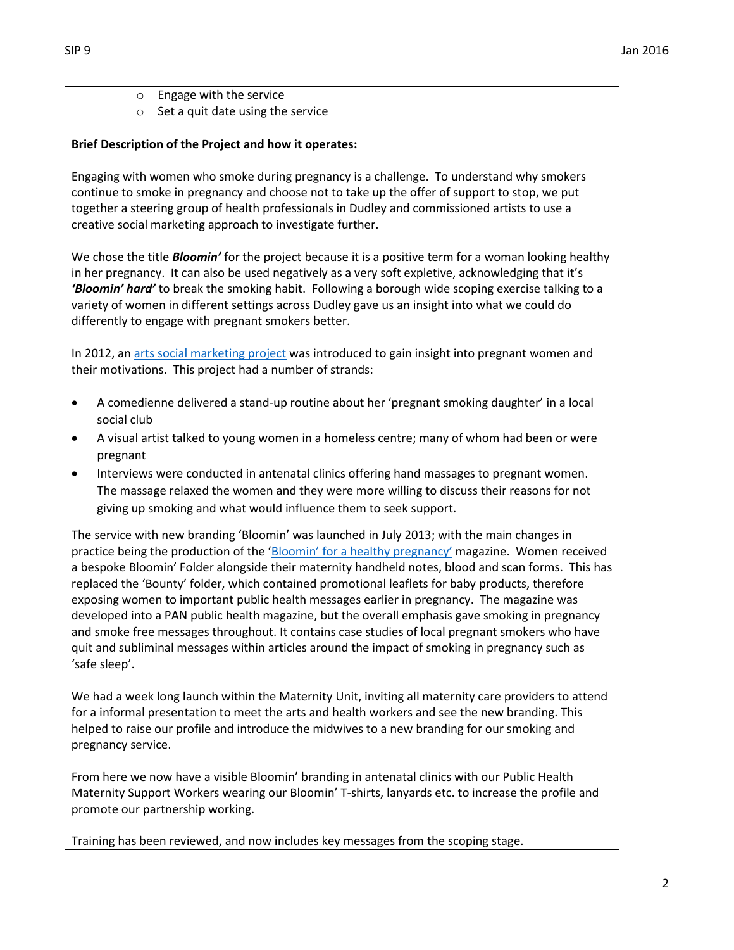- o Engage with the service
- o Set a quit date using the service

#### **Brief Description of the Project and how it operates:**

Engaging with women who smoke during pregnancy is a challenge. To understand why smokers continue to smoke in pregnancy and choose not to take up the offer of support to stop, we put together a steering group of health professionals in Dudley and commissioned artists to use a creative social marketing approach to investigate further.

We chose the title *Bloomin'* for the project because it is a positive term for a woman looking healthy in her pregnancy. It can also be used negatively as a very soft expletive, acknowledging that it's *'Bloomin' hard'* to break the smoking habit. Following a borough wide scoping exercise talking to a variety of women in different settings across Dudley gave us an insight into what we could do differently to engage with pregnant smokers better.

In 2012, an [arts social marketing project](http://www.westmidlandsartshealthandwellbeing.org.uk/uploads/Bloomin-CaseStudy-Oct14-low-res.pdf) was introduced to gain insight into pregnant women and their motivations. This project had a number of strands:

- A comedienne delivered a stand-up routine about her 'pregnant smoking daughter' in a local social club
- A visual artist talked to young women in a homeless centre; many of whom had been or were pregnant
- Interviews were conducted in antenatal clinics offering hand massages to pregnant women. The massage relaxed the women and they were more willing to discuss their reasons for not giving up smoking and what would influence them to seek support.

The service with new branding 'Bloomin' was launched in July 2013; with the main changes in practice being the production of the ['Bloomin' for a healthy pregnancy'](https://www.dudleystopsmoking.co.uk/pregnancy-and-children/bloomin-magazine/) magazine. Women received a bespoke Bloomin' Folder alongside their maternity handheld notes, blood and scan forms. This has replaced the 'Bounty' folder, which contained promotional leaflets for baby products, therefore exposing women to important public health messages earlier in pregnancy. The magazine was developed into a PAN public health magazine, but the overall emphasis gave smoking in pregnancy and smoke free messages throughout. It contains case studies of local pregnant smokers who have quit and subliminal messages within articles around the impact of smoking in pregnancy such as 'safe sleep'.

We had a week long launch within the Maternity Unit, inviting all maternity care providers to attend for a informal presentation to meet the arts and health workers and see the new branding. This helped to raise our profile and introduce the midwives to a new branding for our smoking and pregnancy service.

From here we now have a visible Bloomin' branding in antenatal clinics with our Public Health Maternity Support Workers wearing our Bloomin' T-shirts, lanyards etc. to increase the profile and promote our partnership working.

Training has been reviewed, and now includes key messages from the scoping stage.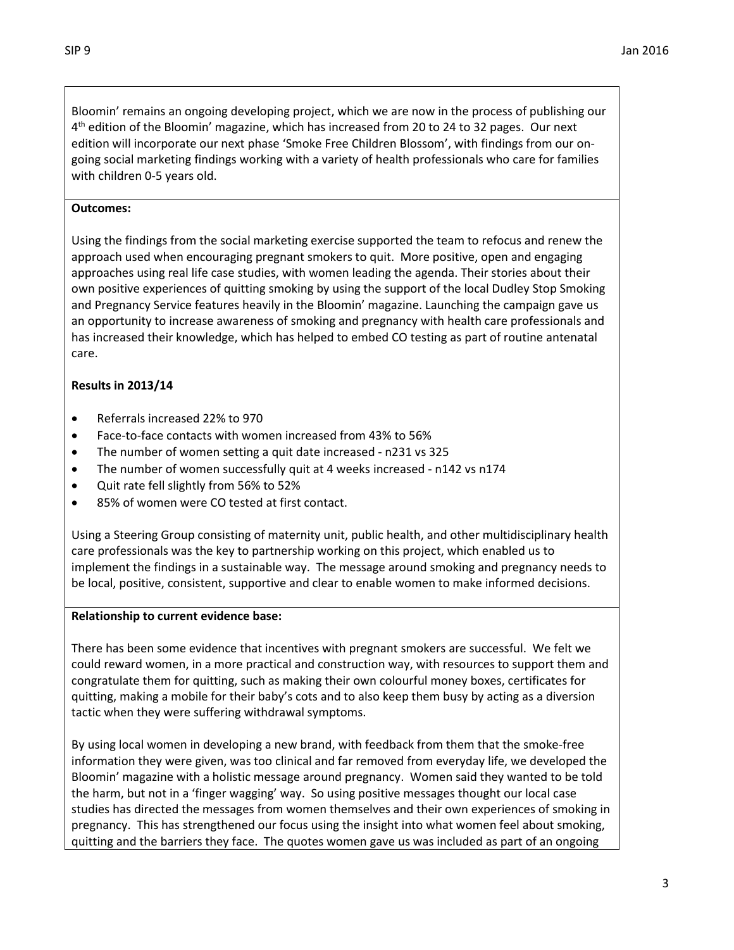Bloomin' remains an ongoing developing project, which we are now in the process of publishing our 4<sup>th</sup> edition of the Bloomin' magazine, which has increased from 20 to 24 to 32 pages. Our next edition will incorporate our next phase 'Smoke Free Children Blossom', with findings from our ongoing social marketing findings working with a variety of health professionals who care for families with children 0-5 years old.

## **Outcomes:**

Using the findings from the social marketing exercise supported the team to refocus and renew the approach used when encouraging pregnant smokers to quit. More positive, open and engaging approaches using real life case studies, with women leading the agenda. Their stories about their own positive experiences of quitting smoking by using the support of the local Dudley Stop Smoking and Pregnancy Service features heavily in the Bloomin' magazine. Launching the campaign gave us an opportunity to increase awareness of smoking and pregnancy with health care professionals and has increased their knowledge, which has helped to embed CO testing as part of routine antenatal care.

## **Results in 2013/14**

- Referrals increased 22% to 970
- Face-to-face contacts with women increased from 43% to 56%
- The number of women setting a quit date increased n231 vs 325
- The number of women successfully quit at 4 weeks increased n142 vs n174
- Quit rate fell slightly from 56% to 52%
- 85% of women were CO tested at first contact.

Using a Steering Group consisting of maternity unit, public health, and other multidisciplinary health care professionals was the key to partnership working on this project, which enabled us to implement the findings in a sustainable way. The message around smoking and pregnancy needs to be local, positive, consistent, supportive and clear to enable women to make informed decisions.

## **Relationship to current evidence base:**

There has been some evidence that incentives with pregnant smokers are successful. We felt we could reward women, in a more practical and construction way, with resources to support them and congratulate them for quitting, such as making their own colourful money boxes, certificates for quitting, making a mobile for their baby's cots and to also keep them busy by acting as a diversion tactic when they were suffering withdrawal symptoms.

By using local women in developing a new brand, with feedback from them that the smoke-free information they were given, was too clinical and far removed from everyday life, we developed the Bloomin' magazine with a holistic message around pregnancy. Women said they wanted to be told the harm, but not in a 'finger wagging' way. So using positive messages thought our local case studies has directed the messages from women themselves and their own experiences of smoking in pregnancy. This has strengthened our focus using the insight into what women feel about smoking, quitting and the barriers they face. The quotes women gave us was included as part of an ongoing